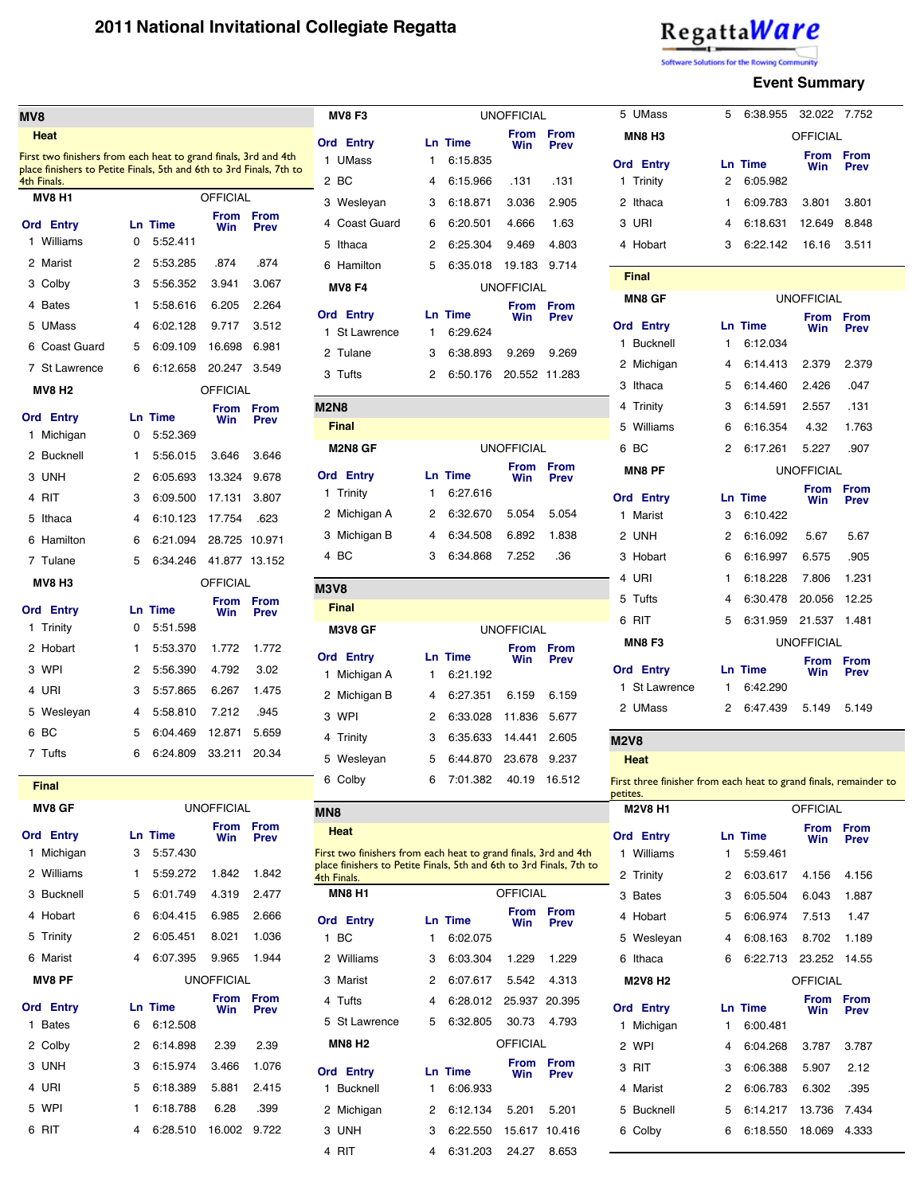| Regatta <mark>Ware</mark> |  |  |  |
|---------------------------|--|--|--|
|                           |  |  |  |

Software Solutions for the Rowing Cor

#### **Event Summary**

5 Bucknell 5 6:14.217 13.736 7.434 6 Colby 6 6:18.550 18.069 4.333

| MV8                                                                                                                                    |        |                |                   |                            | <b>MV8 F3</b>                                                                                                                          |              |                            | <b>UNOFFICIAL</b>                |                            | 5 UMass                                                           |    | 5 6:38.955 32.022 7.752 |                           |                            |  |
|----------------------------------------------------------------------------------------------------------------------------------------|--------|----------------|-------------------|----------------------------|----------------------------------------------------------------------------------------------------------------------------------------|--------------|----------------------------|----------------------------------|----------------------------|-------------------------------------------------------------------|----|-------------------------|---------------------------|----------------------------|--|
| <b>Heat</b>                                                                                                                            |        |                |                   |                            | <b>Ord</b> Entry                                                                                                                       |              | <b>Ln Time</b>             | <b>From</b><br><b>Win</b>        | <b>From</b><br><b>Prev</b> | <b>MN8 H3</b>                                                     |    |                         | <b>OFFICIAL</b>           |                            |  |
| First two finishers from each heat to grand finals, 3rd and 4th<br>place finishers to Petite Finals, 5th and 6th to 3rd Finals, 7th to |        |                |                   |                            | 1 UMass                                                                                                                                |              | 6:15.835                   |                                  |                            | <b>Ord</b> Entry                                                  |    | Ln Time                 | <b>From</b><br><b>Win</b> | <b>From</b><br><b>Prev</b> |  |
| 4th Finals.                                                                                                                            |        |                |                   |                            | 2 BC                                                                                                                                   | 4            | 6:15.966                   | .131                             | .131                       | 1 Trinity                                                         | 2  | 6:05.982                |                           |                            |  |
| <b>MV8 H1</b>                                                                                                                          |        |                | <b>OFFICIAL</b>   |                            | 3 Wesleyan                                                                                                                             | 3            | 6:18.871                   | 3.036                            | 2.905                      | 2 Ithaca                                                          | 1. | 6:09.783                | 3.801                     | 3.801                      |  |
| <b>Ord Entry</b>                                                                                                                       |        | <b>Ln Time</b> | Win               | From From<br><b>Prev</b>   | 4 Coast Guard                                                                                                                          | 6            | 6:20.501                   | 4.666                            | 1.63                       | 3 URI                                                             | 4  | 6:18.631                | 12.649                    | 8.848                      |  |
| Williams<br>$\mathbf{1}$                                                                                                               | 0      | 5:52.411       |                   |                            | 5 Ithaca                                                                                                                               | $^{2}$       | 6:25.304                   | 9.469                            | 4.803                      | 4 Hobart                                                          | 3  | 6:22.142                | 16.16                     | 3.511                      |  |
| 2 Marist                                                                                                                               | 2      | 5:53.285       | .874              | .874                       | 6 Hamilton                                                                                                                             | 5            | 6:35.018                   | 19.183 9.714                     |                            | <b>Final</b>                                                      |    |                         |                           |                            |  |
| 3 Colby                                                                                                                                | З      | 5:56.352       | 3.941             | 3.067                      | <b>MV8 F4</b>                                                                                                                          |              |                            | <b>UNOFFICIAL</b>                |                            | <b>MN8 GF</b>                                                     |    |                         | <b>UNOFFICIAL</b>         |                            |  |
| 4 Bates                                                                                                                                |        | 5:58.616       | 6.205             | 2.264                      | <b>Ord Entry</b>                                                                                                                       |              | <b>Ln Time</b>             | From<br><b>Win</b>               | From<br><b>Prev</b>        |                                                                   |    |                         | <b>From</b>               | <b>From</b>                |  |
| 5 UMass                                                                                                                                | 4      | 6:02.128       | 9.717             | 3.512                      | 1 St Lawrence                                                                                                                          | $\mathbf{1}$ | 6:29.624                   |                                  |                            | <b>Ord</b> Entry                                                  |    | Ln Time                 | <b>Win</b>                | <b>Prev</b>                |  |
| 6 Coast Guard                                                                                                                          | 5      | 6:09.109       | 16.698            | 6.981                      | 2 Tulane                                                                                                                               | 3            | 6:38.893                   | 9.269                            | 9.269                      | 1 Bucknell                                                        | 1. | 6:12.034                |                           |                            |  |
| 7 St Lawrence                                                                                                                          |        | 6 6:12.658     | 20.247 3.549      |                            | 3 Tufts                                                                                                                                | 2            | 6:50.176                   | 20.552 11.283                    |                            | 2 Michigan                                                        | 4  | 6:14.413                | 2.379                     | 2.379                      |  |
| <b>MV8 H2</b>                                                                                                                          |        |                | <b>OFFICIAL</b>   |                            |                                                                                                                                        |              |                            |                                  |                            | 3 Ithaca                                                          | 5  | 6:14.460                | 2.426                     | .047                       |  |
| <b>Ord Entry</b>                                                                                                                       |        | <b>Ln Time</b> | Win               | From From<br><b>Prev</b>   | <b>M2N8</b>                                                                                                                            |              |                            |                                  |                            | 4 Trinity                                                         | 3  | 6:14.591                | 2.557                     | .131                       |  |
| 1 Michigan                                                                                                                             | 0      | 5:52.369       |                   |                            | <b>Final</b>                                                                                                                           |              |                            |                                  |                            | 5 Williams                                                        | 6  | 6:16.354                | 4.32                      | 1.763                      |  |
| 2 Bucknell                                                                                                                             |        | 5:56.015       | 3.646             | 3.646                      | M2N8 GF                                                                                                                                |              |                            | <b>UNOFFICIAL</b><br><b>From</b> | <b>From</b>                | 6 BC                                                              | 2  | 6:17.261                | 5.227                     | .907                       |  |
| 3 UNH                                                                                                                                  | 2      | 6:05.693       | 13.324 9.678      |                            | <b>Ord</b> Entry                                                                                                                       |              | <b>Ln Time</b>             | <b>Win</b>                       | <b>Prev</b>                | <b>MN8 PF</b>                                                     |    |                         | <b>UNOFFICIAL</b>         |                            |  |
| 4 RIT                                                                                                                                  | 3      | 6:09.500       | 17.131            | 3.807                      | 1 Trinity                                                                                                                              | 1.           | 6:27.616                   |                                  |                            | <b>Ord Entry</b>                                                  |    | Ln Time                 | <b>From</b><br><b>Win</b> | <b>From</b><br><b>Prev</b> |  |
| 5<br>Ithaca                                                                                                                            | 4      | 6:10.123       | 17.754            | .623                       | 2 Michigan A                                                                                                                           | $^{2}$       | 6:32.670                   | 5.054                            | 5.054                      | 1 Marist                                                          | 3  | 6:10.422                |                           |                            |  |
| 6 Hamilton                                                                                                                             | 6      | 6:21.094       | 28.725 10.971     |                            | 3 Michigan B                                                                                                                           | 4            | 6:34.508                   | 6.892                            | 1.838                      | 2 UNH                                                             | 2  | 6:16.092                | 5.67                      | 5.67                       |  |
| 7 Tulane                                                                                                                               | 5      | 6:34.246       | 41.877 13.152     |                            | 4 BC                                                                                                                                   | 3            | 6:34.868                   | 7.252                            | .36                        | 3 Hobart                                                          | 6  | 6:16.997                | 6.575                     | .905                       |  |
| <b>MV8 H3</b>                                                                                                                          |        |                | <b>OFFICIAL</b>   |                            | <b>M3V8</b>                                                                                                                            |              |                            |                                  |                            | 4 URI                                                             | 1. | 6:18.228                | 7.806                     | 1.231                      |  |
| <b>Ord Entry</b>                                                                                                                       |        | Ln Time        | Win               | From From<br><b>Prev</b>   | <b>Final</b>                                                                                                                           |              |                            |                                  |                            | 5 Tufts                                                           | 4  | 6:30.478                | 20.056                    | 12.25                      |  |
| 1 Trinity                                                                                                                              | 0      | 5:51.598       |                   |                            | M3V8 GF                                                                                                                                |              |                            | <b>UNOFFICIAL</b>                |                            | 6 RIT                                                             | 5. | 6:31.959 21.537 1.481   |                           |                            |  |
| 2 Hobart                                                                                                                               |        | 5:53.370       | 1.772             | 1.772                      |                                                                                                                                        |              |                            | <b>From</b>                      | From                       | <b>MN8F3</b>                                                      |    |                         | <b>UNOFFICIAL</b>         |                            |  |
| 3 WPI                                                                                                                                  |        | 2 5:56.390     | 4.792             | 3.02                       | <b>Ord Entry</b><br>1 Michigan A                                                                                                       | 1.           | <b>Ln Time</b><br>6:21.192 | Win                              | <b>Prev</b>                | <b>Ord</b> Entry                                                  |    | <b>Ln Time</b>          | <b>From</b><br><b>Win</b> | From<br><b>Prev</b>        |  |
| 4 URI                                                                                                                                  | З      | 5:57.865       | 6.267             | 1.475                      | 2 Michigan B                                                                                                                           | 4            | 6:27.351                   | 6.159                            | 6.159                      | 1 St Lawrence                                                     | 1  | 6:42.290                |                           |                            |  |
| 5 Wesleyan                                                                                                                             | 4      | 5:58.810       | 7.212             | .945                       | 3 WPI                                                                                                                                  | 2            | 6:33.028                   | 11.836 5.677                     |                            | 2 UMass                                                           | 2  | 6:47.439                | 5.149                     | 5.149                      |  |
| 6 BC                                                                                                                                   | 5      | 6:04.469       | 12.871            | 5.659                      | 4 Trinity                                                                                                                              | 3            | 6:35.633                   | 14.441 2.605                     |                            | <b>M2V8</b>                                                       |    |                         |                           |                            |  |
| 7 Tufts                                                                                                                                | 6      | 6:24.809       | 33.211 20.34      |                            | 5 Wesleyan                                                                                                                             | 5            | 6:44.870                   | 23.678 9.237                     |                            | <b>Heat</b>                                                       |    |                         |                           |                            |  |
|                                                                                                                                        |        |                |                   |                            | 6 Colby                                                                                                                                | 6.           | 7:01.382                   |                                  | 40.19 16.512               | First three finisher from each heat to grand finals, remainder to |    |                         |                           |                            |  |
| <b>Final</b>                                                                                                                           |        |                |                   |                            |                                                                                                                                        |              |                            |                                  |                            | petites.                                                          |    |                         |                           |                            |  |
| <b>MV8 GF</b>                                                                                                                          |        |                | <b>UNOFFICIAL</b> |                            | MN <sub>8</sub>                                                                                                                        |              |                            |                                  |                            | <b>M2V8 H1</b>                                                    |    |                         | <b>OFFICIAL</b>           |                            |  |
| <b>Ord Entry</b>                                                                                                                       |        | <b>Ln Time</b> | Win               | From From<br><b>Prev</b>   | <b>Heat</b>                                                                                                                            |              |                            |                                  |                            | <b>Ord</b> Entry                                                  |    | <b>Ln Time</b>          | <b>From</b><br><b>Win</b> | From<br><b>Prev</b>        |  |
| 1 Michigan                                                                                                                             | З      | 5:57.430       |                   |                            | First two finishers from each heat to grand finals, 3rd and 4th<br>place finishers to Petite Finals, 5th and 6th to 3rd Finals, 7th to |              |                            |                                  |                            | 1 Williams                                                        | 1. | 5:59.461                |                           |                            |  |
| 2 Williams                                                                                                                             | 1.     | 5:59.272       | 1.842             | 1.842                      | 4th Finals.                                                                                                                            |              |                            |                                  |                            | 2 Trinity                                                         | 2  | 6:03.617                | 4.156                     | 4.156                      |  |
| 3 Bucknell                                                                                                                             | 5      | 6:01.749       | 4.319             | 2.477                      | <b>MN8 H1</b>                                                                                                                          |              |                            | <b>OFFICIAL</b>                  |                            | 3 Bates                                                           | 3. | 6:05.504                | 6.043                     | 1.887                      |  |
| 4 Hobart                                                                                                                               | 6      | 6:04.415       | 6.985             | 2.666                      | <b>Ord Entry</b>                                                                                                                       |              | <b>Ln Time</b>             | <b>From</b><br>Win               | <b>From</b><br><b>Prev</b> | 4 Hobart                                                          | 5. | 6:06.974                | 7.513                     | 1.47                       |  |
| 5 Trinity                                                                                                                              | 2      | 6:05.451       | 8.021             | 1.036                      | $1$ BC                                                                                                                                 | $\mathbf{1}$ | 6:02.075                   |                                  |                            | 5 Wesleyan                                                        | 4  | 6:08.163                | 8.702                     | 1.189                      |  |
| 6 Marist                                                                                                                               | 4      | 6:07.395       | 9.965             | 1.944                      | 2 Williams                                                                                                                             | 3            | 6:03.304                   | 1.229                            | 1.229                      | 6 Ithaca                                                          | 6. | 6:22.713 23.252 14.55   |                           |                            |  |
| <b>MV8 PF</b>                                                                                                                          |        |                | <b>UNOFFICIAL</b> |                            | 3 Marist                                                                                                                               | $^{2}$       | 6:07.617                   | 5.542                            | 4.313                      | <b>M2V8 H2</b>                                                    |    |                         | <b>OFFICIAL</b>           |                            |  |
| <b>Ord Entry</b>                                                                                                                       |        | <b>Ln Time</b> | From<br>Win       | <b>From</b><br><b>Prev</b> | 4 Tufts                                                                                                                                | 4            | 6:28.012                   |                                  | 25.937 20.395              | <b>Ord</b> Entry                                                  |    | <b>Ln Time</b>          | <b>From</b><br>Win        | <b>From</b><br><b>Prev</b> |  |
| 1 Bates                                                                                                                                | 6.     | 6:12.508       |                   |                            | 5 St Lawrence                                                                                                                          | 5            | 6:32.805                   | 30.73                            | 4.793                      | 1 Michigan                                                        | 1. | 6:00.481                |                           |                            |  |
| 2 Colby                                                                                                                                | $^{2}$ | 6:14.898       | 2.39              | 2.39                       | <b>MN8 H2</b>                                                                                                                          |              |                            | <b>OFFICIAL</b>                  |                            | 2 WPI                                                             | 4  | 6:04.268                | 3.787                     | 3.787                      |  |
| 3 UNH                                                                                                                                  | 3      | 6:15.974       | 3.466             | 1.076                      | <b>Ord Entry</b>                                                                                                                       |              | <b>Ln Time</b>             | <b>From</b><br>Win               | <b>From</b>                | 3 RIT                                                             | 3. | 6:06.388                | 5.907                     | 2.12                       |  |
| 4 URI                                                                                                                                  |        | 5 6:18.389     |                   | 5.881 2.415                | 1 Bucknell                                                                                                                             | $\mathbf{1}$ | 6:06.933                   |                                  | <b>Prev</b>                | 4 Marist                                                          | 2  | 6:06.783                | 6.302                     | .395                       |  |
|                                                                                                                                        |        |                |                   |                            |                                                                                                                                        |              |                            |                                  |                            |                                                                   |    |                         |                           |                            |  |

2 Michigan 2 6:12.134 5.201 5.201 3 UNH 3 6:22.550 15.617 10.416 4 RIT 4 6:31.203 24.27 8.653

5 WPI 1 6:18.788 6.28 .399 6 RIT 4 6:28.510 16.002 9.722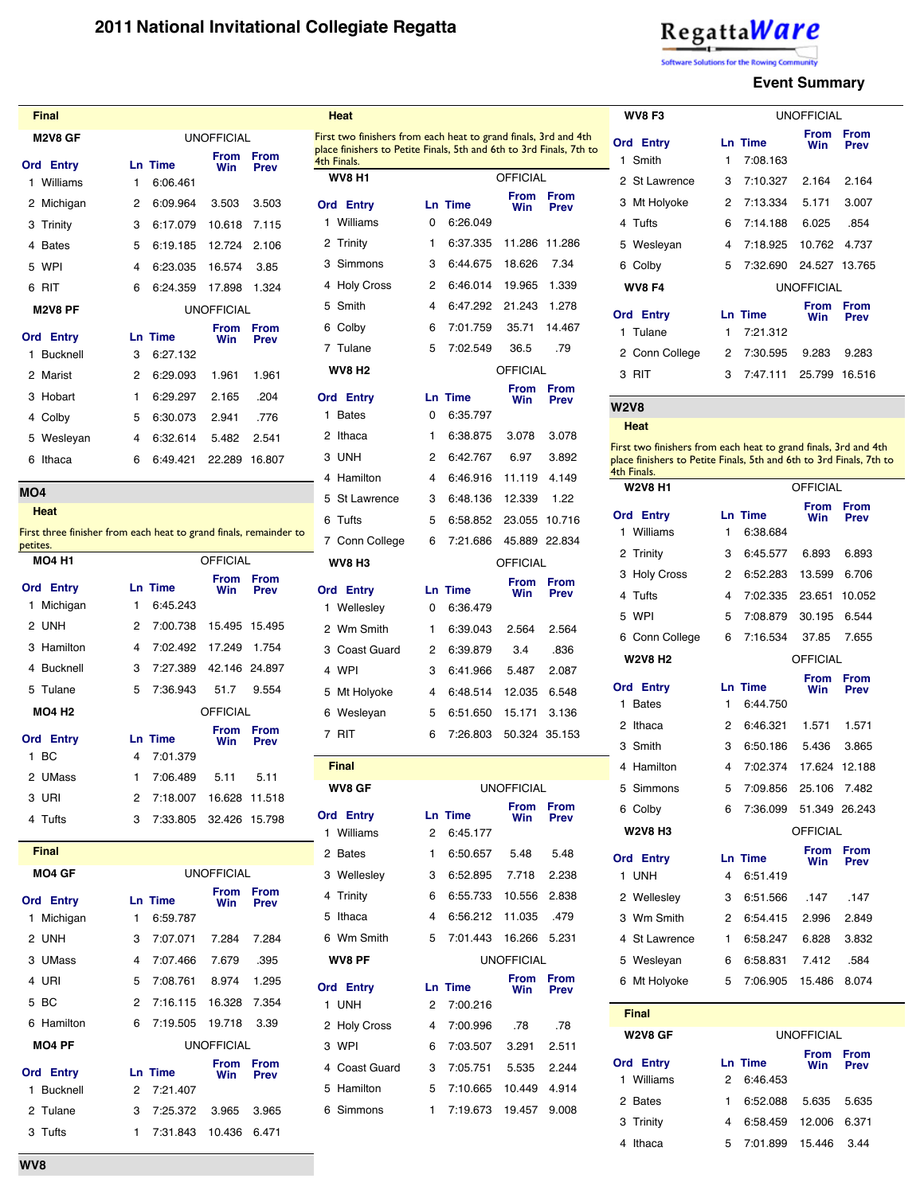# RegattaWare

are Solutions for the Rowing Com mity

2 St Lawrence 3 7:10.327 2.164 2.164

**WV8 F3**

**Ord Entry Ln Time**

1 Smith 1 7:08.163

## **Event Summary**

UNOFFICIAL **From Win**

**From Prev**

| <b>Final</b>         |                   |                |                    |                            |  |  |  |
|----------------------|-------------------|----------------|--------------------|----------------------------|--|--|--|
| <b>M2V8 GF</b>       | <b>UNOFFICIAL</b> |                |                    |                            |  |  |  |
| <b>Ord Entry</b>     |                   | <b>Ln Time</b> | From<br>Win        | <b>From</b><br><b>Prev</b> |  |  |  |
| 1 Williams           | 1                 | 6:06.461       |                    |                            |  |  |  |
| Michigan<br>2        | 2                 | 6:09.964       | 3.503              | 3.503                      |  |  |  |
| Trinity<br>3         | 3                 | 6:17.079       | 10.618             | 7.115                      |  |  |  |
| <b>Bates</b><br>4    | 5                 | 6:19.185       | 12.724             | 2.106                      |  |  |  |
| WPI<br>5             | 4                 | 6:23.035       | 16.574             | 3.85                       |  |  |  |
| <b>RIT</b><br>6      | 6                 | 6:24.359       | 17.898             | 1.324                      |  |  |  |
|                      |                   |                |                    |                            |  |  |  |
| <b>M2V8 PF</b>       |                   |                | <b>UNOFFICIAL</b>  |                            |  |  |  |
| <b>Ord Entry</b>     |                   | <b>Ln Time</b> | <b>From</b><br>Win | <b>From</b><br><b>Prev</b> |  |  |  |
| <b>Bucknell</b><br>1 | 3                 | 6:27.132       |                    |                            |  |  |  |
| Marist<br>2          | 2                 | 6:29.093       | 1.961              | 1.961                      |  |  |  |
| Hobart<br>з          | 1                 | 6:29.297       | 2.165              | .204                       |  |  |  |
| Colby<br>4           | 5                 | 6:30.073       | 2.941              | .776                       |  |  |  |
| Wesleyan<br>5        | 4                 | 6:32.614       | 5.482              | 2.541                      |  |  |  |
| Ithaca<br>6          | 6                 | 6:49.421       | 22.289             | 16.807                     |  |  |  |

**MO4**

**Heat**

First three finisher from each heat to grand finals, remainder to petites.

| <b>MO4 H1</b>    |              |                          | <b>OFFICIAL</b>    |                     |
|------------------|--------------|--------------------------|--------------------|---------------------|
| <b>Ord Entry</b> |              | <b>Ln Time</b>           | From From<br>Win   | <b>Prev</b>         |
| 1 Michigan       | $\mathbf{1}$ | 6:45.243                 |                    |                     |
| 2 UNH            |              | 2 7:00.738 15.495 15.495 |                    |                     |
| 3 Hamilton       |              | 4 7:02.492 17.249 1.754  |                    |                     |
| 4 Bucknell       |              | 3 7:27.389 42.146 24.897 |                    |                     |
| 5 Tulane         |              | 5 7:36.943 51.7 9.554    |                    |                     |
| <b>MO4 H2</b>    |              |                          | <b>OFFICIAL</b>    |                     |
| <b>Ord Entry</b> |              | <b>Ln Time</b>           | From<br>Win Prev   | <b>From</b>         |
| 1 BC             | 4            | 7:01.379                 |                    |                     |
| 2 UMass          | $\mathbf{1}$ | 7:06.489 5.11 5.11       |                    |                     |
| 3 URI            |              | 2 7:18.007 16.628 11.518 |                    |                     |
| 4 Tufts          |              | 3 7:33.805 32.426 15.798 |                    |                     |
| <b>Final</b>     |              |                          |                    |                     |
| <b>MO4 GF</b>    |              |                          | <b>UNOFFICIAL</b>  |                     |
| Ord Fntry        |              | In Time                  | From<br><b>Win</b> | <b>From</b><br>Drou |

|       | <b>Ord Entry</b>   |   | Ln Time           | From<br>Win       | From<br><b>Prev</b>        |  |
|-------|--------------------|---|-------------------|-------------------|----------------------------|--|
|       | 1 Michigan         | 1 | 6:59.787          |                   |                            |  |
|       | 2 UNH              | 3 | 7:07.071          | 7.284             | 7.284                      |  |
|       | 3 UMass            | 4 | 7:07.466 7.679    |                   | .395                       |  |
| 4 URI |                    |   | 5 7:08.761        | 8.974             | 1.295                      |  |
| 5 BC  |                    |   | 2 7:16.115 16.328 |                   | 7.354                      |  |
|       | 6 Hamilton         |   | 6 7:19.505 19.718 |                   | 3.39                       |  |
|       | MO <sub>4</sub> PF |   |                   | <b>UNOFFICIAL</b> |                            |  |
|       | <b>Ord Entry</b>   |   | <b>Ln Time</b>    | From<br>Win       | <b>From</b><br><b>Prev</b> |  |
|       | 1 Bucknell         |   | 2 7:21.407        |                   |                            |  |
|       | 2 Tulane           | 3 | 7:25.372 3.965    |                   | 3.965                      |  |
|       | 3 Tufts            | 1 | 7:31.843          | 10.436            | 6.471                      |  |

| Heat                                                                                                                                                  |                |                            |                   |                            |  |
|-------------------------------------------------------------------------------------------------------------------------------------------------------|----------------|----------------------------|-------------------|----------------------------|--|
| First two finishers from each heat to grand finals, 3rd and 4th<br>place finishers to Petite Finals, 5th and 6th to 3rd Finals, 7th to<br>4th Finals. |                |                            |                   |                            |  |
| <b>WV8 H1</b>                                                                                                                                         |                |                            | <b>OFFICIAL</b>   |                            |  |
| <b>Ord Entry</b>                                                                                                                                      |                | <b>Ln Time</b>             | From<br>Win       | From<br><b>Prev</b>        |  |
| 1 Williams                                                                                                                                            | 0              | 6:26.049                   |                   |                            |  |
| Trinity<br>2                                                                                                                                          | 1              | 6:37.335                   | 11.286            | 11.286                     |  |
| 3<br>Simmons                                                                                                                                          | 3              | 6:44.675                   | 18.626            | 7.34                       |  |
| <b>Holy Cross</b><br>4                                                                                                                                | 2              | 6:46.014                   | 19.965            | 1.339                      |  |
| Smith<br>5                                                                                                                                            | 4              | 6:47.292                   | 21.243            | 1.278                      |  |
| Colby<br>6                                                                                                                                            | 6              | 7:01.759                   | 35.71             | 14.467                     |  |
| 7 Tulane                                                                                                                                              | 5              | 7:02.549                   | 36.5              | .79                        |  |
| WV8 H2                                                                                                                                                |                |                            | <b>OFFICIAL</b>   |                            |  |
| <b>Ord Entry</b><br><b>Bates</b><br>1                                                                                                                 | 0              | <b>Ln Time</b><br>6:35.797 | From<br>Win       | From<br>Prev               |  |
|                                                                                                                                                       |                |                            |                   |                            |  |
| Ithaca<br>2                                                                                                                                           | 1              | 6:38.875                   | 3.078             | 3.078                      |  |
| 3<br><b>UNH</b>                                                                                                                                       | 2              | 6:42.767                   | 6.97              | 3.892                      |  |
| Hamilton<br>4                                                                                                                                         | 4              | 6:46.916                   | 11.119            | 4.149                      |  |
| <b>St Lawrence</b><br>5                                                                                                                               | 3              | 6:48.136                   | 12.339            | 1.22                       |  |
| 6<br>Tufts                                                                                                                                            | 5              | 6:58.852                   | 23.055            | 10.716                     |  |
| 7 Conn College                                                                                                                                        | 6              | 7:21.686                   |                   | 45.889 22.834              |  |
| WV8 H3                                                                                                                                                |                |                            | OFFICIAL          |                            |  |
| <b>Ord Entry</b><br>Wellesley<br>1                                                                                                                    | 0              | <b>Ln Time</b><br>6:36.479 | From<br>Win       | From<br><b>Prev</b>        |  |
| Wm Smith<br>2                                                                                                                                         | 1              | 6:39.043                   | 2.564             | 2.564                      |  |
| 3<br>Coast Guard                                                                                                                                      | 2              | 6:39.879                   | 3.4               | .836                       |  |
| 4 WPI                                                                                                                                                 | 3              | 6:41.966                   | 5.487             | 2.087                      |  |
| 5 Mt Holyoke                                                                                                                                          | 4              | 6:48.514 12.035            |                   | 6.548                      |  |
| Wesleyan<br>6                                                                                                                                         | 5 <sub>5</sub> | 6:51.650                   | 15.171            | 3.136                      |  |
| 7 RIT                                                                                                                                                 | 6              | 7:26.803                   |                   | 50.324 35.153              |  |
|                                                                                                                                                       |                |                            |                   |                            |  |
| <b>Final</b>                                                                                                                                          |                |                            |                   |                            |  |
| WV8 GF                                                                                                                                                |                |                            | <b>UNOFFICIAL</b> |                            |  |
| <b>Ord Entry</b><br>1 Williams                                                                                                                        | 2              | <b>Ln Time</b><br>6:45.177 | From<br>Win       | <b>From</b><br><b>Prev</b> |  |
| 2 Bates                                                                                                                                               | 1              | 6:50.657                   | 5.48              | 5.48                       |  |
| 3 Wellesley                                                                                                                                           | 3              | 6:52.895 7.718             |                   | 2.238                      |  |

| 2 Bates          | 1           | 6:50.657 5.48           |                   | 5.48                       |
|------------------|-------------|-------------------------|-------------------|----------------------------|
| 3 Wellesley      | 3           | 6:52.895 7.718 2.238    |                   |                            |
| 4 Trinity        | 6           | 6:55.733 10.556 2.838   |                   |                            |
| 5 Ithaca         | 4           | 6:56.212 11.035 .479    |                   |                            |
| 6 Wm Smith       | $5^{\circ}$ | 7:01.443  16.266  5.231 |                   |                            |
| WV8 PF           |             |                         | <b>UNOFFICIAL</b> |                            |
|                  |             |                         |                   |                            |
| <b>Ord Entry</b> |             | <b>Ln Time</b>          | From<br>Win       | <b>From</b><br><b>Prev</b> |
| 1 UNH            |             | 2 7:00.216              |                   |                            |
| 2 Holy Cross     | 4           | 7:00.996 .78            |                   | .78                        |
| 3 WPI            | 6.          | 7:03.507                | 3.291             | 2.511                      |
| 4 Coast Guard    | $3^{\circ}$ | 7:05.751                | 5.535             | 2.244                      |
| 5 Hamilton       |             | 5 7:10.665              | 10.449 4.914      |                            |

| 3           | Mt Holyoke                                                                         | 2 | 7:13.334        | 5.171             | 3.007               |  |
|-------------|------------------------------------------------------------------------------------|---|-----------------|-------------------|---------------------|--|
| 4           | Tufts                                                                              | 6 | 7:14.188        | 6.025             | .854                |  |
| 5           | Wesleyan                                                                           | 4 | 7:18.925        | 10.762            | 4.737               |  |
| 6           | Colby                                                                              | 5 | 7:32.690        |                   | 24.527 13.765       |  |
|             | <b>WV8 F4</b>                                                                      |   |                 | <b>UNOFFICIAL</b> |                     |  |
|             | <b>Ord Entry</b>                                                                   |   | <b>Ln Time</b>  | From<br>Win       | From                |  |
| 1           | Tulane                                                                             | 1 | 7:21.312        |                   | <b>Prev</b>         |  |
|             | 2 Conn College                                                                     | 2 | 7:30.595        | 9.283             | 9.283               |  |
| 3           | <b>RIT</b>                                                                         | 3 | 7:47.111        | 25.799            | 16.516              |  |
| <b>W2V8</b> |                                                                                    |   |                 |                   |                     |  |
|             | Heat                                                                               |   |                 |                   |                     |  |
|             | First two finishers from each heat to grand finals, 3rd and 4th                    |   |                 |                   |                     |  |
|             | place finishers to Petite Finals, 5th and 6th to 3rd Finals, 7th to<br>4th Finals. |   |                 |                   |                     |  |
|             | <b>W2V8 H1</b>                                                                     |   |                 | <b>OFFICIAL</b>   |                     |  |
|             | <b>Ord Entry</b>                                                                   |   | <b>Ln Time</b>  | From<br>Win       | From<br><b>Prev</b> |  |
|             | 1 Williams                                                                         | 1 | 6:38.684        |                   |                     |  |
|             | 2 Trinity                                                                          | 3 | 6:45.577        | 6.893             | 6.893               |  |
| 3           | <b>Holy Cross</b>                                                                  | 2 | 6:52.283        | 13.599            | 6.706               |  |
| 4           | Tufts                                                                              | 4 | 7:02.335        | 23.651            | 10.052              |  |
| 5           | WPI                                                                                | 5 | 7:08.879        | 30.195            | 6.544               |  |
|             | 6 Conn College                                                                     | 6 | 7:16.534        | 37.85             | 7.655               |  |
|             | <b>W2V8 H2</b>                                                                     |   |                 | <b>OFFICIAL</b>   |                     |  |
|             | <b>Ord Entry</b>                                                                   |   | Ln Time         | From<br>Win       | From<br><b>Prev</b> |  |
| 1           | <b>Bates</b>                                                                       | 1 | 6:44.750        |                   |                     |  |
| 2           | Ithaca                                                                             | 2 | 6:46.321        | 1.571             | 1.571               |  |
| 3           | Smith                                                                              | 3 | 6:50.186        | 5.436             | 3.865               |  |
|             | 4 Hamilton                                                                         | 4 | 7:02.374        |                   | 17.624 12.188       |  |
| 5           | Simmons                                                                            | 5 | 7:09.856 25.106 |                   | 7.482               |  |
|             | 6 Colby                                                                            | 6 | 7:36.099        |                   | 51.349 26.243       |  |
|             | <b>W2V8 H3</b>                                                                     |   |                 | <b>OFFICIAL</b>   |                     |  |
|             | <b>Ord Entry</b>                                                                   |   | Ln Time         | From<br>Win       | From<br>Prev        |  |
| 1           | <b>UNH</b>                                                                         | 4 | 6:51.419        |                   |                     |  |
|             | 2 Wellesley                                                                        | 3 | 6:51.566        | .147              | .147                |  |
|             | 3 Wm Smith                                                                         | 2 | 6:54.415        | 2.996             | 2.849               |  |
| 4           | <b>St Lawrence</b>                                                                 | 1 | 6:58.247        | 6.828             | 3.832               |  |
|             | 5 Wesleyan                                                                         | 6 | 6:58.831        | 7.412             | .584                |  |
| 6           | Mt Holyoke                                                                         | 5 | 7:06.905        | 15.486            | 8.074               |  |

| <b>Final</b>     |   |                   |                    |                            |  |
|------------------|---|-------------------|--------------------|----------------------------|--|
| <b>W2V8 GF</b>   |   | <b>UNOFFICIAL</b> |                    |                            |  |
| <b>Ord Entry</b> |   | <b>Ln Time</b>    | <b>From</b><br>Win | <b>From</b><br><b>Prev</b> |  |
| Williams<br>1    | 2 | 6:46.453          |                    |                            |  |
| 2 Bates          | 1 | 6:52.088          | 5.635              | 5.635                      |  |
| 3 Trinity        | 4 | 6:58.459          | 12.006             | 6.371                      |  |
| Ithaca           | 5 | 7:01.899          | 15.446             | 3 44                       |  |